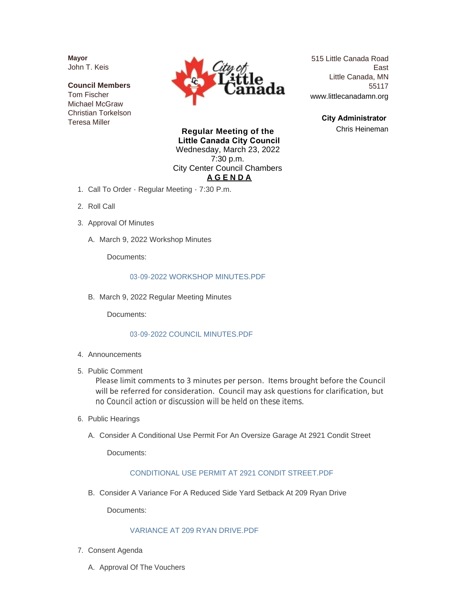**Mayor** John T. Keis

**Council Members** Tom Fischer Michael McGraw Christian Torkelson Teresa Miller



515 Little Canada Road East Little Canada, MN 55117 www.littlecanadamn.org

> **City Administrator**  Chris Heineman

**Regular Meeting of the Little Canada City Council** Wednesday, March 23, 2022 7:30 p.m. City Center Council Chambers **A G E N D A**

- 1. Call To Order Regular Meeting 7:30 P.m.
- 2. Roll Call
- 3. Approval Of Minutes
	- A. March 9, 2022 Workshop Minutes

Documents:

#### [03-09-2022 WORKSHOP MINUTES.PDF](http://www.littlecanadamn.org/AgendaCenter/ViewFile/Item/3860?fileID=3602)

B. March 9, 2022 Regular Meeting Minutes

Documents:

#### [03-09-2022 COUNCIL MINUTES.PDF](http://www.littlecanadamn.org/AgendaCenter/ViewFile/Item/3861?fileID=3603)

- 4. Announcements
- 5. Public Comment

Please limit comments to 3 minutes per person. Items brought before the Council will be referred for consideration. Council may ask questions for clarification, but no Council action or discussion will be held on these items.

- 6. Public Hearings
	- A. Consider A Conditional Use Permit For An Oversize Garage At 2921 Condit Street

Documents:

#### [CONDITIONAL USE PERMIT AT 2921 CONDIT STREET.PDF](http://www.littlecanadamn.org/AgendaCenter/ViewFile/Item/3862?fileID=3597)

B. Consider A Variance For A Reduced Side Yard Setback At 209 Ryan Drive

Documents:

#### [VARIANCE AT 209 RYAN DRIVE.PDF](http://www.littlecanadamn.org/AgendaCenter/ViewFile/Item/3863?fileID=3598)

- 7. Consent Agenda
	- A. Approval Of The Vouchers